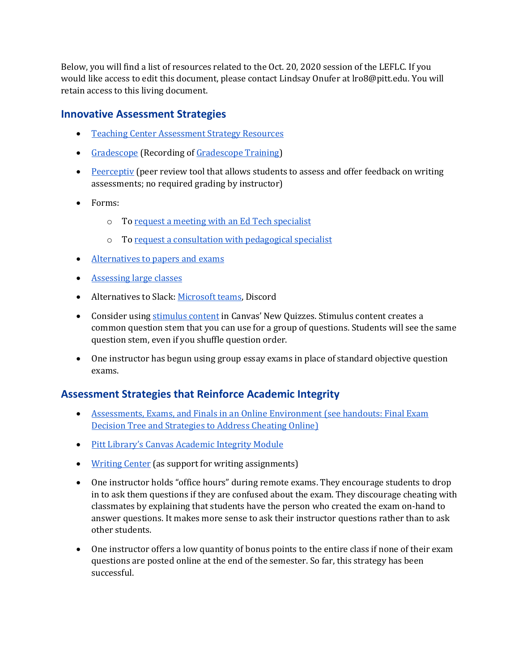Below, you will find a list of resources related to the Oct. 20, 2020 session of the LEFLC. If you would like access to edit this document, please contact Lindsay Onufer at lro8@pitt.edu. You will retain access to this living document.

## **Innovative Assessment Strategies**

- [Teaching Center Assessment Strategy Resources](https://teaching.pitt.edu/resources-for-teaching/#Assessment-Strategies)
- [Gradescope](https://teaching.pitt.edu/featured/introducing-gradescope/) (Recording of [Gradescope Training\)](https://pitt.hosted.panopto.com/Panopto/Pages/Viewer.aspx?id=adb6763f-656a-4b6f-8382-ac050124ddde)
- [Peerceptiv](https://peerceptiv.com/) (peer review tool that allows students to assess and offer feedback on writing assessments; no required grading by instructor)
- Forms:
	- o To [request a meeting with an Ed Tech specialist](https://pitt.co1.qualtrics.com/jfe/form/SV_d3WeBVvW0sU7GhD)
	- o To [request a consultation with pedagogical specialist](https://airtable.com/shreQWY8sgtgnpXsi)
- [Alternatives to papers and exams](https://citl.indiana.edu/teaching-resources/assessing-student-learning/alternatives-traditional-exams-papers/index.html)
- [Assessing large classes](https://teaching.unsw.edu.au/assessing-large-classes)
- Alternatives to Slack[: Microsoft teams,](https://www.technology.pitt.edu/services/microsoft-teams) Discord
- Consider using [stimulus content](https://community.canvaslms.com/t5/Instructor-Guide/How-do-I-insert-stimulus-content-in-New-Quizzes/ta-p/573) in Canvas' New Quizzes. Stimulus content creates a common question stem that you can use for a group of questions. Students will see the same question stem, even if you shuffle question order.
- One instructor has begun using group essay exams in place of standard objective question exams.

## **Assessment Strategies that Reinforce Academic Integrity**

- Assessments, Exams, and Finals in an Online Environment (see handouts: Final Exam [Decision Tree and Strategies to Address Cheating Online\)](https://teaching.pitt.edu/resources-for-teaching/#Assessment-Strategies)
- [Pitt Library's Canvas Academic Integrity Module](https://canvas.pitt.edu/enroll/3LJA96.)
- [Writing Center](https://www.writingcenter.pitt.edu/) (as support for writing assignments)
- One instructor holds "office hours" during remote exams. They encourage students to drop in to ask them questions if they are confused about the exam. They discourage cheating with classmates by explaining that students have the person who created the exam on-hand to answer questions. It makes more sense to ask their instructor questions rather than to ask other students.
- One instructor offers a low quantity of bonus points to the entire class if none of their exam questions are posted online at the end of the semester. So far, this strategy has been successful.